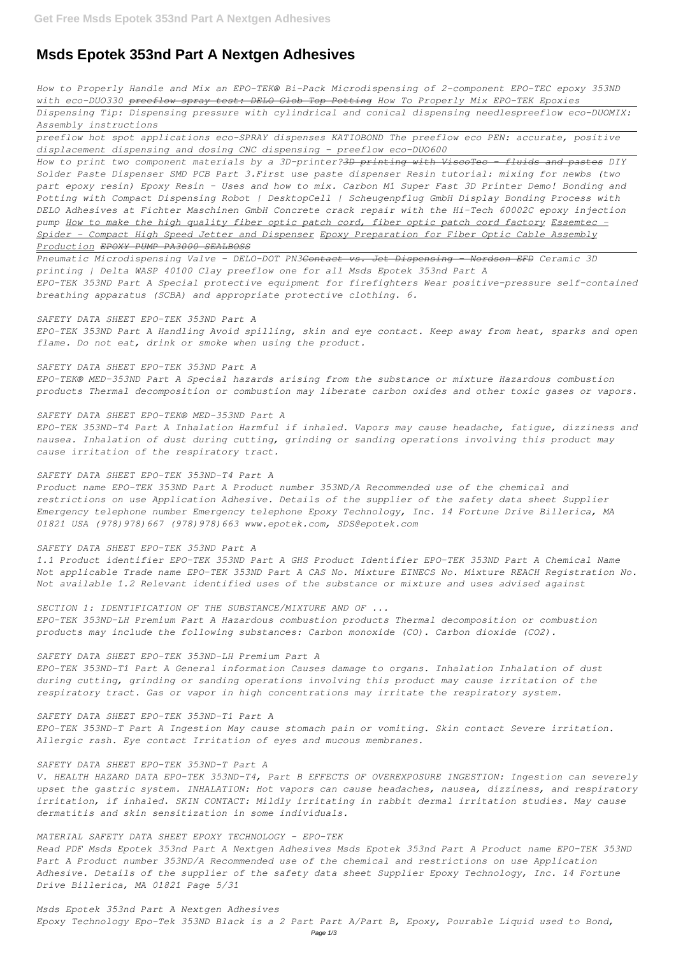# **Msds Epotek 353nd Part A Nextgen Adhesives**

*How to Properly Handle and Mix an EPO-TEK® Bi-Pack Microdispensing of 2-component EPO-TEC epoxy 353ND with eco-DUO330 preeflow spray test: DELO Glob Top Potting How To Properly Mix EPO-TEK Epoxies*

*Dispensing Tip: Dispensing pressure with cylindrical and conical dispensing needlespreeflow eco-DUOMIX: Assembly instructions*

*preeflow hot spot applications eco-SPRAY dispenses KATIOBOND The preeflow eco PEN: accurate, positive displacement dispensing and dosing CNC dispensing - preeflow eco-DUO600* 

*How to print two component materials by a 3D-printer?3D printing with ViscoTec - fluids and pastes DIY Solder Paste Dispenser SMD PCB Part 3.First use paste dispenser Resin tutorial: mixing for newbs (two part epoxy resin) Epoxy Resin - Uses and how to mix. Carbon M1 Super Fast 3D Printer Demo! Bonding and Potting with Compact Dispensing Robot | DesktopCell | Scheugenpflug GmbH Display Bonding Process with DELO Adhesives at Fichter Maschinen GmbH Concrete crack repair with the Hi-Tech 60002C epoxy injection pump How to make the high quality fiber optic patch cord, fiber optic patch cord factory Essemtec - Spider - Compact High Speed Jetter and Dispenser Epoxy Preparation for Fiber Optic Cable Assembly Production EPOXY PUMP PA3000 SEALBOSS*

*Pneumatic Microdispensing Valve - DELO-DOT PN3Contact vs. Jet Dispensing - Nordson EFD Ceramic 3D printing | Delta WASP 40100 Clay preeflow one for all Msds Epotek 353nd Part A EPO-TEK 353ND Part A Special protective equipment for firefighters Wear positive-pressure self-contained breathing apparatus (SCBA) and appropriate protective clothing. 6.*

## *SAFETY DATA SHEET EPO-TEK 353ND Part A*

*EPO-TEK 353ND Part A Handling Avoid spilling, skin and eye contact. Keep away from heat, sparks and open flame. Do not eat, drink or smoke when using the product.*

## *SAFETY DATA SHEET EPO-TEK 353ND Part A*

*EPO-TEK® MED-353ND Part A Special hazards arising from the substance or mixture Hazardous combustion products Thermal decomposition or combustion may liberate carbon oxides and other toxic gases or vapors.*

#### *SAFETY DATA SHEET EPO-TEK® MED-353ND Part A*

*EPO-TEK 353ND-T4 Part A Inhalation Harmful if inhaled. Vapors may cause headache, fatigue, dizziness and nausea. Inhalation of dust during cutting, grinding or sanding operations involving this product may cause irritation of the respiratory tract.*

## *SAFETY DATA SHEET EPO-TEK 353ND-T4 Part A*

*Product name EPO-TEK 353ND Part A Product number 353ND/A Recommended use of the chemical and restrictions on use Application Adhesive. Details of the supplier of the safety data sheet Supplier Emergency telephone number Emergency telephone Epoxy Technology, Inc. 14 Fortune Drive Billerica, MA 01821 USA (978)978)667 (978)978)663 www.epotek.com, SDS@epotek.com*

## *SAFETY DATA SHEET EPO-TEK 353ND Part A*

*1.1 Product identifier EPO-TEK 353ND Part A GHS Product Identifier EPO-TEK 353ND Part A Chemical Name Not applicable Trade name EPO-TEK 353ND Part A CAS No. Mixture EINECS No. Mixture REACH Registration No. Not available 1.2 Relevant identified uses of the substance or mixture and uses advised against*

## *SECTION 1: IDENTIFICATION OF THE SUBSTANCE/MIXTURE AND OF ...*

*EPO-TEK 353ND-LH Premium Part A Hazardous combustion products Thermal decomposition or combustion products may include the following substances: Carbon monoxide (CO). Carbon dioxide (CO2).*

## *SAFETY DATA SHEET EPO-TEK 353ND-LH Premium Part A*

*EPO-TEK 353ND-T1 Part A General information Causes damage to organs. Inhalation Inhalation of dust during cutting, grinding or sanding operations involving this product may cause irritation of the respiratory tract. Gas or vapor in high concentrations may irritate the respiratory system.*

#### *SAFETY DATA SHEET EPO-TEK 353ND-T1 Part A*

*EPO-TEK 353ND-T Part A Ingestion May cause stomach pain or vomiting. Skin contact Severe irritation. Allergic rash. Eye contact Irritation of eyes and mucous membranes.*

## *SAFETY DATA SHEET EPO-TEK 353ND-T Part A*

*V. HEALTH HAZARD DATA EPO-TEK 353ND-T4, Part B EFFECTS OF OVEREXPOSURE INGESTION: Ingestion can severely upset the gastric system. INHALATION: Hot vapors can cause headaches, nausea, dizziness, and respiratory irritation, if inhaled. SKIN CONTACT: Mildly irritating in rabbit dermal irritation studies. May cause dermatitis and skin sensitization in some individuals.*

## *MATERIAL SAFETY DATA SHEET EPOXY TECHNOLOGY - EPO-TEK*

*Read PDF Msds Epotek 353nd Part A Nextgen Adhesives Msds Epotek 353nd Part A Product name EPO-TEK 353ND Part A Product number 353ND/A Recommended use of the chemical and restrictions on use Application Adhesive. Details of the supplier of the safety data sheet Supplier Epoxy Technology, Inc. 14 Fortune Drive Billerica, MA 01821 Page 5/31*

*Msds Epotek 353nd Part A Nextgen Adhesives Epoxy Technology Epo-Tek 353ND Black is a 2 Part Part A/Part B, Epoxy, Pourable Liquid used to Bond,*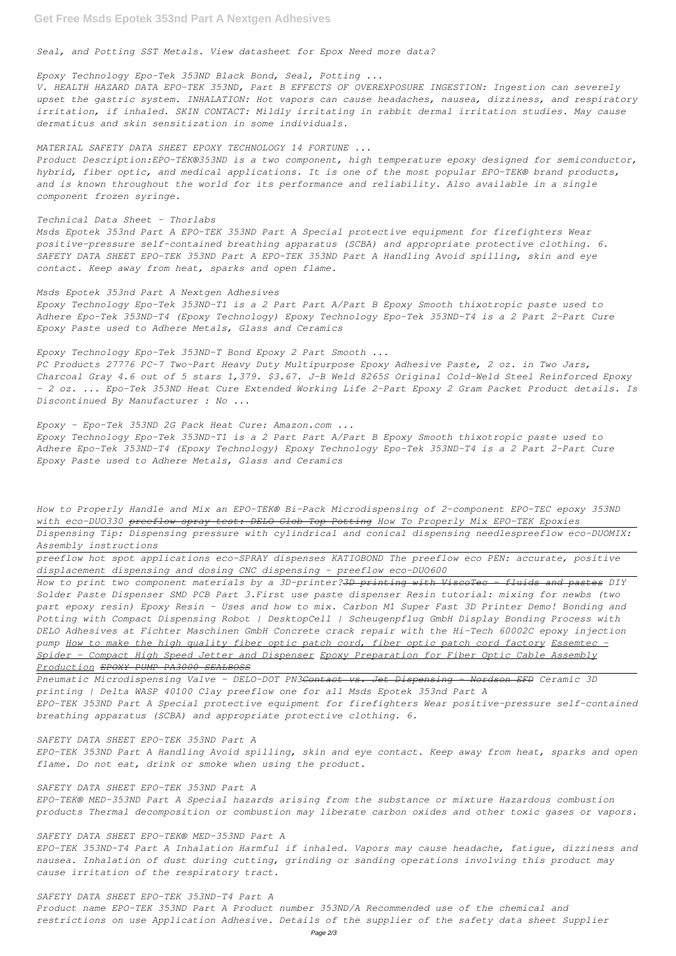*Seal, and Potting SST Metals. View datasheet for Epox Need more data?*

*Epoxy Technology Epo-Tek 353ND Black Bond, Seal, Potting ...*

*V. HEALTH HAZARD DATA EPO-TEK 353ND, Part B EFFECTS OF OVEREXPOSURE INGESTION: Ingestion can severely upset the gastric system. INHALATION: Hot vapors can cause headaches, nausea, dizziness, and respiratory irritation, if inhaled. SKIN CONTACT: Mildly irritating in rabbit dermal irritation studies. May cause dermatitus and skin sensitization in some individuals.*

*MATERIAL SAFETY DATA SHEET EPOXY TECHNOLOGY 14 FORTUNE ...*

*Product Description:EPO-TEK®353ND is a two component, high temperature epoxy designed for semiconductor, hybrid, fiber optic, and medical applications. It is one of the most popular EPO-TEK® brand products, and is known throughout the world for its performance and reliability. Also available in a single component frozen syringe.*

*Technical Data Sheet - Thorlabs*

*Msds Epotek 353nd Part A EPO-TEK 353ND Part A Special protective equipment for firefighters Wear positive-pressure self-contained breathing apparatus (SCBA) and appropriate protective clothing. 6. SAFETY DATA SHEET EPO-TEK 353ND Part A EPO-TEK 353ND Part A Handling Avoid spilling, skin and eye contact. Keep away from heat, sparks and open flame.*

*Msds Epotek 353nd Part A Nextgen Adhesives*

*Epoxy Technology Epo-Tek 353ND-T1 is a 2 Part Part A/Part B Epoxy Smooth thixotropic paste used to Adhere Epo-Tek 353ND-T4 (Epoxy Technology) Epoxy Technology Epo-Tek 353ND-T4 is a 2 Part 2-Part Cure Epoxy Paste used to Adhere Metals, Glass and Ceramics*

*Epoxy Technology Epo-Tek 353ND-T Bond Epoxy 2 Part Smooth ...*

*PC Products 27776 PC-7 Two-Part Heavy Duty Multipurpose Epoxy Adhesive Paste, 2 oz. in Two Jars, Charcoal Gray 4.6 out of 5 stars 1,379. \$3.67. J-B Weld 8265S Original Cold-Weld Steel Reinforced Epoxy - 2 oz. ... Epo-Tek 353ND Heat Cure Extended Working Life 2-Part Epoxy 2 Gram Packet Product details. Is Discontinued By Manufacturer : No ...*

*Epoxy - Epo-Tek 353ND 2G Pack Heat Cure: Amazon.com ... Epoxy Technology Epo-Tek 353ND-T1 is a 2 Part Part A/Part B Epoxy Smooth thixotropic paste used to Adhere Epo-Tek 353ND-T4 (Epoxy Technology) Epoxy Technology Epo-Tek 353ND-T4 is a 2 Part 2-Part Cure Epoxy Paste used to Adhere Metals, Glass and Ceramics*

*How to Properly Handle and Mix an EPO-TEK® Bi-Pack Microdispensing of 2-component EPO-TEC epoxy 353ND with eco-DUO330 preeflow spray test: DELO Glob Top Potting How To Properly Mix EPO-TEK Epoxies*

*Dispensing Tip: Dispensing pressure with cylindrical and conical dispensing needlespreeflow eco-DUOMIX: Assembly instructions*

*preeflow hot spot applications eco-SPRAY dispenses KATIOBOND The preeflow eco PEN: accurate, positive displacement dispensing and dosing CNC dispensing - preeflow eco-DUO600* 

*How to print two component materials by a 3D-printer?3D printing with ViscoTec - fluids and pastes DIY Solder Paste Dispenser SMD PCB Part 3.First use paste dispenser Resin tutorial: mixing for newbs (two part epoxy resin) Epoxy Resin - Uses and how to mix. Carbon M1 Super Fast 3D Printer Demo! Bonding and Potting with Compact Dispensing Robot | DesktopCell | Scheugenpflug GmbH Display Bonding Process with DELO Adhesives at Fichter Maschinen GmbH Concrete crack repair with the Hi-Tech 60002C epoxy injection pump How to make the high quality fiber optic patch cord, fiber optic patch cord factory Essemtec - Spider - Compact High Speed Jetter and Dispenser Epoxy Preparation for Fiber Optic Cable Assembly Production EPOXY PUMP PA3000 SEALBOSS*

*Pneumatic Microdispensing Valve - DELO-DOT PN3Contact vs. Jet Dispensing - Nordson EFD Ceramic 3D printing | Delta WASP 40100 Clay preeflow one for all Msds Epotek 353nd Part A EPO-TEK 353ND Part A Special protective equipment for firefighters Wear positive-pressure self-contained breathing apparatus (SCBA) and appropriate protective clothing. 6.*

#### *SAFETY DATA SHEET EPO-TEK 353ND Part A*

*EPO-TEK 353ND Part A Handling Avoid spilling, skin and eye contact. Keep away from heat, sparks and open flame. Do not eat, drink or smoke when using the product.*

#### *SAFETY DATA SHEET EPO-TEK 353ND Part A*

*EPO-TEK® MED-353ND Part A Special hazards arising from the substance or mixture Hazardous combustion products Thermal decomposition or combustion may liberate carbon oxides and other toxic gases or vapors.*

## *SAFETY DATA SHEET EPO-TEK® MED-353ND Part A*

*EPO-TEK 353ND-T4 Part A Inhalation Harmful if inhaled. Vapors may cause headache, fatigue, dizziness and nausea. Inhalation of dust during cutting, grinding or sanding operations involving this product may cause irritation of the respiratory tract.*

# *SAFETY DATA SHEET EPO-TEK 353ND-T4 Part A Product name EPO-TEK 353ND Part A Product number 353ND/A Recommended use of the chemical and restrictions on use Application Adhesive. Details of the supplier of the safety data sheet Supplier*